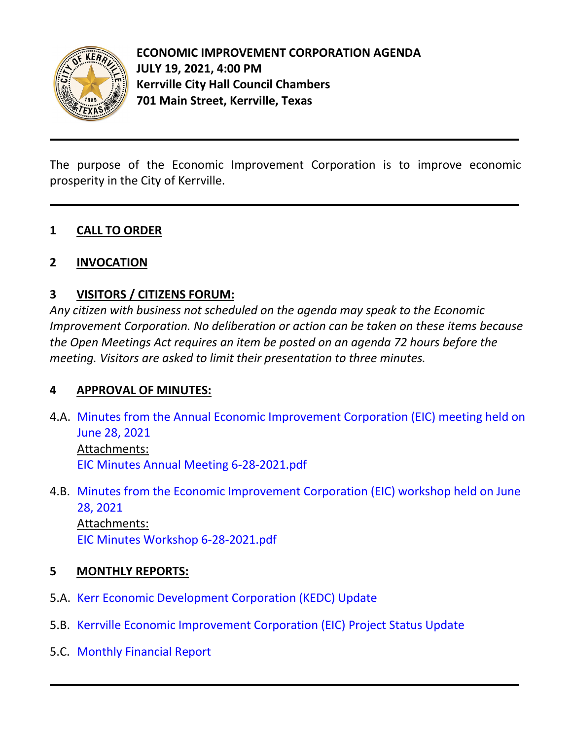

The purpose of the Economic Improvement Corporation is to improve economic prosperity in the City of Kerrville.

# **1 CALL TO ORDER**

## **2 INVOCATION**

# **3 VISITORS / CITIZENS FORUM:**

*Any citizen with business not scheduled on the agenda may speak to the Economic Improvement Corporation. No deliberation or action can be taken on these items because the Open Meetings Act requires an item be posted on an agenda 72 hours before the meeting. Visitors are asked to limit their presentation to three minutes.*

## **4 APPROVAL OF MINUTES:**

- 4.A. [Minutes from the Annual Economic Improvement Corporation \(EIC\) meeting held on](https://d2kbkoa27fdvtw.cloudfront.net/kerrvilletx/a536e3d8dc107f49be2fa314bba58cba0.pdf) [June 28, 2021](https://d2kbkoa27fdvtw.cloudfront.net/kerrvilletx/a536e3d8dc107f49be2fa314bba58cba0.pdf) Attachments: [EIC Minutes Annual Meeting 6-28-2021.pdf](https://legistarweb-production.s3.amazonaws.com/uploads/attachment/pdf/983985/EIC_Minutes_Annual_Meeting_6-28-2021.pdf)
- 4.B. [Minutes from the Economic Improvement Corporation \(EIC\) workshop held on June](https://d2kbkoa27fdvtw.cloudfront.net/kerrvilletx/eb38f194947e53ef87452417558211f60.pdf) [28, 2021](https://d2kbkoa27fdvtw.cloudfront.net/kerrvilletx/eb38f194947e53ef87452417558211f60.pdf) Attachments: [EIC Minutes Workshop 6-28-2021.pdf](https://legistarweb-production.s3.amazonaws.com/uploads/attachment/pdf/989857/EIC_Minutes_Workshop_6-28-2021.pdf)

## **5 MONTHLY REPORTS:**

- 5.A. [Kerr Economic Development Corporation \(KEDC\) Update](https://d2kbkoa27fdvtw.cloudfront.net/kerrvilletx/30550babaf45f14c3850b6829a2a5fc40.pdf)
- 5.B. [Kerrville Economic Improvement Corporation \(EIC\) Project Status Update](https://d2kbkoa27fdvtw.cloudfront.net/kerrvilletx/9679ba1c89df03afe6e30ea7d923eb160.pdf)
- 5.C. [Monthly Financial Report](https://d2kbkoa27fdvtw.cloudfront.net/kerrvilletx/c9c7e809d7dd9702119af7ec216991610.pdf)